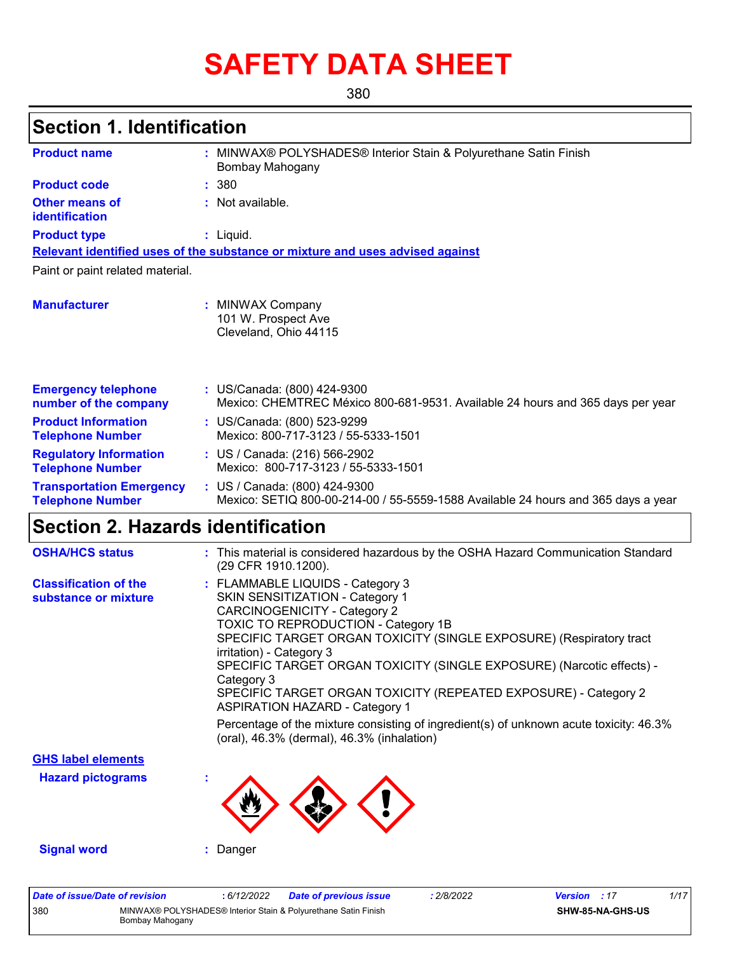# **SAFETY DATA SHEET**

380

# **Section 1. Identification**

| <b>Product name</b>                                        | MINWAX® POLYSHADES® Interior Stain & Polyurethane Satin Finish<br>Bombay Mahogany                                  |  |  |  |
|------------------------------------------------------------|--------------------------------------------------------------------------------------------------------------------|--|--|--|
| <b>Product code</b>                                        | : 380                                                                                                              |  |  |  |
| <b>Other means of</b><br>identification                    | : Not available.                                                                                                   |  |  |  |
| <b>Product type</b>                                        | $:$ Liquid.                                                                                                        |  |  |  |
|                                                            | Relevant identified uses of the substance or mixture and uses advised against                                      |  |  |  |
| Paint or paint related material.                           |                                                                                                                    |  |  |  |
| <b>Manufacturer</b>                                        | : MINWAX Company<br>101 W. Prospect Ave<br>Cleveland, Ohio 44115                                                   |  |  |  |
| <b>Emergency telephone</b><br>number of the company        | : US/Canada: (800) 424-9300<br>Mexico: CHEMTREC México 800-681-9531. Available 24 hours and 365 days per year      |  |  |  |
| <b>Product Information</b><br><b>Telephone Number</b>      | : US/Canada: (800) 523-9299<br>Mexico: 800-717-3123 / 55-5333-1501                                                 |  |  |  |
| <b>Regulatory Information</b><br><b>Telephone Number</b>   | : US / Canada: (216) 566-2902<br>Mexico: 800-717-3123 / 55-5333-1501                                               |  |  |  |
| <b>Transportation Emergency</b><br><b>Telephone Number</b> | : US / Canada: (800) 424-9300<br>Mexico: SETIQ 800-00-214-00 / 55-5559-1588 Available 24 hours and 365 days a year |  |  |  |

# **Section 2. Hazards identification**

| <b>OSHA/HCS status</b>                               | : This material is considered hazardous by the OSHA Hazard Communication Standard<br>(29 CFR 1910.1200).                                                                                                                                                                                                                                                                                                                                                                                                                                                                                           |
|------------------------------------------------------|----------------------------------------------------------------------------------------------------------------------------------------------------------------------------------------------------------------------------------------------------------------------------------------------------------------------------------------------------------------------------------------------------------------------------------------------------------------------------------------------------------------------------------------------------------------------------------------------------|
| <b>Classification of the</b><br>substance or mixture | : FLAMMABLE LIQUIDS - Category 3<br>SKIN SENSITIZATION - Category 1<br><b>CARCINOGENICITY - Category 2</b><br>TOXIC TO REPRODUCTION - Category 1B<br>SPECIFIC TARGET ORGAN TOXICITY (SINGLE EXPOSURE) (Respiratory tract<br>irritation) - Category 3<br>SPECIFIC TARGET ORGAN TOXICITY (SINGLE EXPOSURE) (Narcotic effects) -<br>Category 3<br>SPECIFIC TARGET ORGAN TOXICITY (REPEATED EXPOSURE) - Category 2<br><b>ASPIRATION HAZARD - Category 1</b><br>Percentage of the mixture consisting of ingredient(s) of unknown acute toxicity: $46.3\%$<br>(oral), 46.3% (dermal), 46.3% (inhalation) |
| <b>GHS label elements</b>                            |                                                                                                                                                                                                                                                                                                                                                                                                                                                                                                                                                                                                    |
| <b>Hazard pictograms</b>                             | ٠                                                                                                                                                                                                                                                                                                                                                                                                                                                                                                                                                                                                  |
| <b>Signal word</b>                                   | Danger                                                                                                                                                                                                                                                                                                                                                                                                                                                                                                                                                                                             |

| Date of issue/Date of revision |                 | 6/12/2022 | <b>Date of previous issue</b>                                  | : 2/8/2022 | <b>Version</b> : 17 |                         | 1/17 |
|--------------------------------|-----------------|-----------|----------------------------------------------------------------|------------|---------------------|-------------------------|------|
| 380                            | Bombay Mahogany |           | MINWAX® POLYSHADES® Interior Stain & Polyurethane Satin Finish |            |                     | <b>SHW-85-NA-GHS-US</b> |      |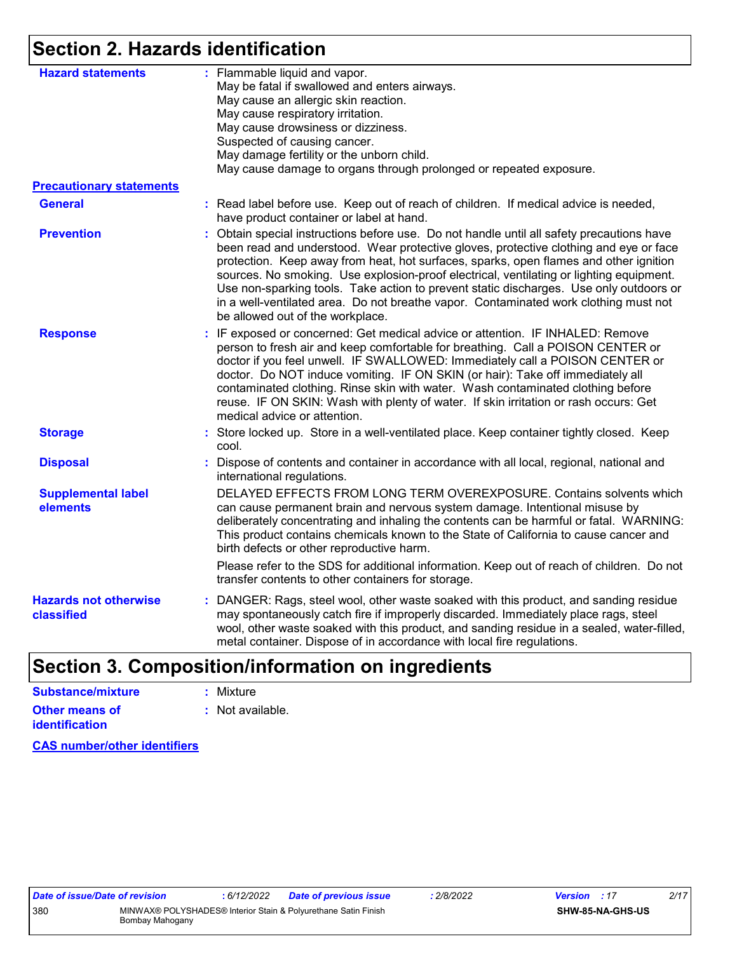# **Section 2. Hazards identification**

| <b>Hazard statements</b>                   | : Flammable liquid and vapor.<br>May be fatal if swallowed and enters airways.<br>May cause an allergic skin reaction.<br>May cause respiratory irritation.<br>May cause drowsiness or dizziness.<br>Suspected of causing cancer.<br>May damage fertility or the unborn child.<br>May cause damage to organs through prolonged or repeated exposure.                                                                                                                                                                                                                                         |
|--------------------------------------------|----------------------------------------------------------------------------------------------------------------------------------------------------------------------------------------------------------------------------------------------------------------------------------------------------------------------------------------------------------------------------------------------------------------------------------------------------------------------------------------------------------------------------------------------------------------------------------------------|
| <b>Precautionary statements</b>            |                                                                                                                                                                                                                                                                                                                                                                                                                                                                                                                                                                                              |
| <b>General</b>                             | : Read label before use. Keep out of reach of children. If medical advice is needed,<br>have product container or label at hand.                                                                                                                                                                                                                                                                                                                                                                                                                                                             |
| <b>Prevention</b>                          | : Obtain special instructions before use. Do not handle until all safety precautions have<br>been read and understood. Wear protective gloves, protective clothing and eye or face<br>protection. Keep away from heat, hot surfaces, sparks, open flames and other ignition<br>sources. No smoking. Use explosion-proof electrical, ventilating or lighting equipment.<br>Use non-sparking tools. Take action to prevent static discharges. Use only outdoors or<br>in a well-ventilated area. Do not breathe vapor. Contaminated work clothing must not<br>be allowed out of the workplace. |
| <b>Response</b>                            | : IF exposed or concerned: Get medical advice or attention. IF INHALED: Remove<br>person to fresh air and keep comfortable for breathing. Call a POISON CENTER or<br>doctor if you feel unwell. IF SWALLOWED: Immediately call a POISON CENTER or<br>doctor. Do NOT induce vomiting. IF ON SKIN (or hair): Take off immediately all<br>contaminated clothing. Rinse skin with water. Wash contaminated clothing before<br>reuse. IF ON SKIN: Wash with plenty of water. If skin irritation or rash occurs: Get<br>medical advice or attention.                                               |
| <b>Storage</b>                             | : Store locked up. Store in a well-ventilated place. Keep container tightly closed. Keep<br>cool.                                                                                                                                                                                                                                                                                                                                                                                                                                                                                            |
| <b>Disposal</b>                            | Dispose of contents and container in accordance with all local, regional, national and<br>international regulations.                                                                                                                                                                                                                                                                                                                                                                                                                                                                         |
| <b>Supplemental label</b><br>elements      | DELAYED EFFECTS FROM LONG TERM OVEREXPOSURE. Contains solvents which<br>can cause permanent brain and nervous system damage. Intentional misuse by<br>deliberately concentrating and inhaling the contents can be harmful or fatal. WARNING:<br>This product contains chemicals known to the State of California to cause cancer and<br>birth defects or other reproductive harm.                                                                                                                                                                                                            |
|                                            | Please refer to the SDS for additional information. Keep out of reach of children. Do not<br>transfer contents to other containers for storage.                                                                                                                                                                                                                                                                                                                                                                                                                                              |
| <b>Hazards not otherwise</b><br>classified | : DANGER: Rags, steel wool, other waste soaked with this product, and sanding residue<br>may spontaneously catch fire if improperly discarded. Immediately place rags, steel<br>wool, other waste soaked with this product, and sanding residue in a sealed, water-filled,<br>metal container. Dispose of in accordance with local fire regulations.                                                                                                                                                                                                                                         |
|                                            |                                                                                                                                                                                                                                                                                                                                                                                                                                                                                                                                                                                              |

# **Section 3. Composition/information on ingredients**

| Substance/mixture     | : Mixture        |
|-----------------------|------------------|
| <b>Other means of</b> | : Not available. |
| <b>identification</b> |                  |

**CAS number/other identifiers**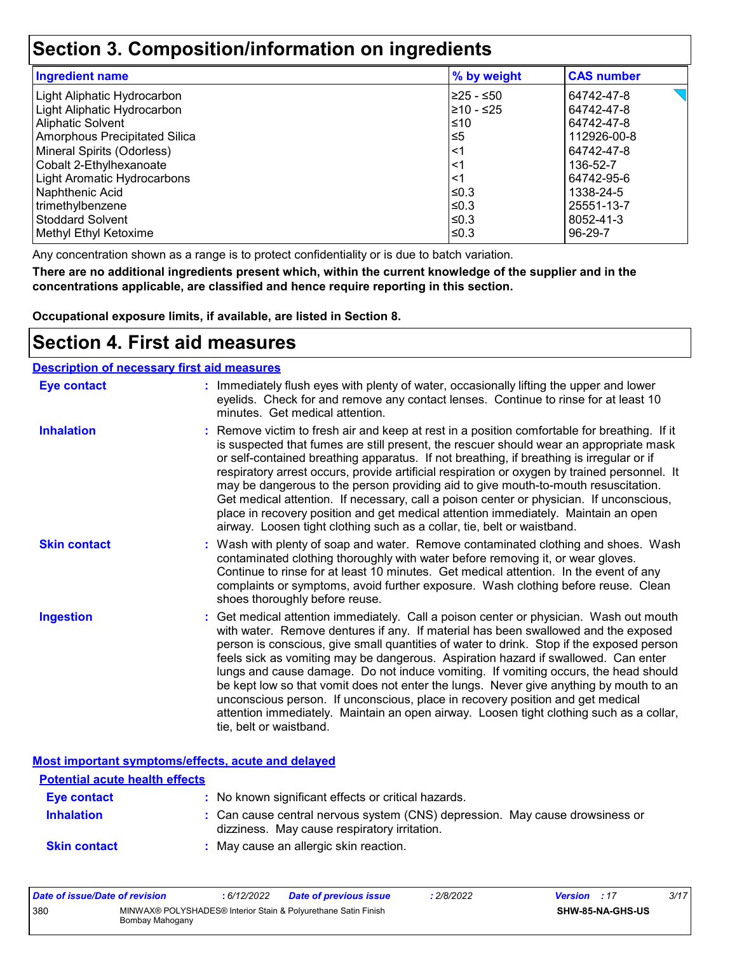# **Section 3. Composition/information on ingredients**

| <b>Ingredient name</b>             | % by weight | <b>CAS number</b> |
|------------------------------------|-------------|-------------------|
| Light Aliphatic Hydrocarbon        | 225 - ≤50   | 64742-47-8        |
| Light Aliphatic Hydrocarbon        | l≥10 - ≤25  | 64742-47-8        |
| Aliphatic Solvent                  | ≤10         | 64742-47-8        |
| Amorphous Precipitated Silica      | $\leq 5$    | 112926-00-8       |
| Mineral Spirits (Odorless)         | <1          | 64742-47-8        |
| Cobalt 2-Ethylhexanoate            | <1          | 136-52-7          |
| <b>Light Aromatic Hydrocarbons</b> | <1          | 64742-95-6        |
| Naphthenic Acid                    | l≤0.3       | 1338-24-5         |
| trimethylbenzene                   | l≤0.3       | 25551-13-7        |
| l Stoddard Solvent                 | l≤0.3       | 8052-41-3         |
| Methyl Ethyl Ketoxime              | l≤0.3       | 96-29-7           |

Any concentration shown as a range is to protect confidentiality or is due to batch variation.

**There are no additional ingredients present which, within the current knowledge of the supplier and in the concentrations applicable, are classified and hence require reporting in this section.**

**Occupational exposure limits, if available, are listed in Section 8.**

### **Section 4. First aid measures**

| <b>Description of necessary first aid measures</b> |                                                                                                                                                                                                                                                                                                                                                                                                                                                                                                                                                                                                                                                                                                                                                         |
|----------------------------------------------------|---------------------------------------------------------------------------------------------------------------------------------------------------------------------------------------------------------------------------------------------------------------------------------------------------------------------------------------------------------------------------------------------------------------------------------------------------------------------------------------------------------------------------------------------------------------------------------------------------------------------------------------------------------------------------------------------------------------------------------------------------------|
| <b>Eye contact</b>                                 | : Immediately flush eyes with plenty of water, occasionally lifting the upper and lower<br>eyelids. Check for and remove any contact lenses. Continue to rinse for at least 10<br>minutes. Get medical attention.                                                                                                                                                                                                                                                                                                                                                                                                                                                                                                                                       |
| <b>Inhalation</b>                                  | : Remove victim to fresh air and keep at rest in a position comfortable for breathing. If it<br>is suspected that fumes are still present, the rescuer should wear an appropriate mask<br>or self-contained breathing apparatus. If not breathing, if breathing is irregular or if<br>respiratory arrest occurs, provide artificial respiration or oxygen by trained personnel. It<br>may be dangerous to the person providing aid to give mouth-to-mouth resuscitation.<br>Get medical attention. If necessary, call a poison center or physician. If unconscious,<br>place in recovery position and get medical attention immediately. Maintain an open<br>airway. Loosen tight clothing such as a collar, tie, belt or waistband.                    |
| <b>Skin contact</b>                                | : Wash with plenty of soap and water. Remove contaminated clothing and shoes. Wash<br>contaminated clothing thoroughly with water before removing it, or wear gloves.<br>Continue to rinse for at least 10 minutes. Get medical attention. In the event of any<br>complaints or symptoms, avoid further exposure. Wash clothing before reuse. Clean<br>shoes thoroughly before reuse.                                                                                                                                                                                                                                                                                                                                                                   |
| <b>Ingestion</b>                                   | : Get medical attention immediately. Call a poison center or physician. Wash out mouth<br>with water. Remove dentures if any. If material has been swallowed and the exposed<br>person is conscious, give small quantities of water to drink. Stop if the exposed person<br>feels sick as vomiting may be dangerous. Aspiration hazard if swallowed. Can enter<br>lungs and cause damage. Do not induce vomiting. If vomiting occurs, the head should<br>be kept low so that vomit does not enter the lungs. Never give anything by mouth to an<br>unconscious person. If unconscious, place in recovery position and get medical<br>attention immediately. Maintain an open airway. Loosen tight clothing such as a collar,<br>tie, belt or waistband. |

**Most important symptoms/effects, acute and delayed**

| <b>Potential acute health effects</b> |                                                                                                                              |
|---------------------------------------|------------------------------------------------------------------------------------------------------------------------------|
| Eye contact                           | : No known significant effects or critical hazards.                                                                          |
| <b>Inhalation</b>                     | : Can cause central nervous system (CNS) depression. May cause drowsiness or<br>dizziness. May cause respiratory irritation. |
| <b>Skin contact</b>                   | : May cause an allergic skin reaction.                                                                                       |

| Date of issue/Date of revision |                                                                                   | 6/12/2022 | <b>Date of previous issue</b> | : 2/8/2022 | <b>Version</b> : 17 |                         | 3/17 |
|--------------------------------|-----------------------------------------------------------------------------------|-----------|-------------------------------|------------|---------------------|-------------------------|------|
| 380                            | MINWAX® POLYSHADES® Interior Stain & Polyurethane Satin Finish<br>Bombay Mahogany |           |                               |            |                     | <b>SHW-85-NA-GHS-US</b> |      |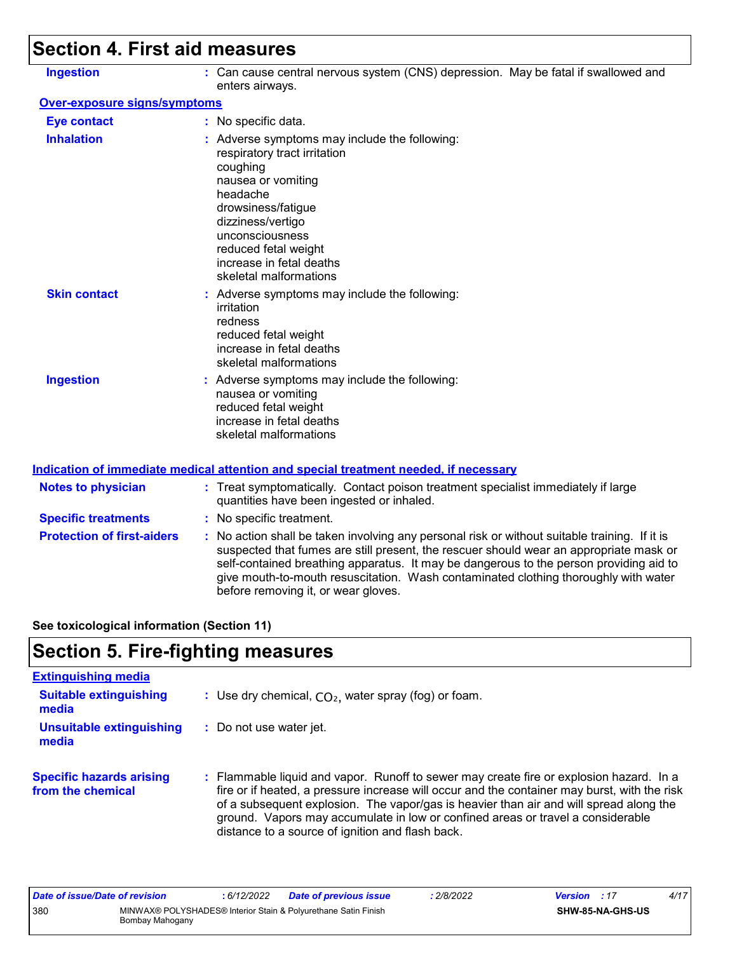# **Section 4. First aid measures**

| <b>Ingestion</b>                    | : Can cause central nervous system (CNS) depression. May be fatal if swallowed and<br>enters airways.                                                                                                                                                                   |
|-------------------------------------|-------------------------------------------------------------------------------------------------------------------------------------------------------------------------------------------------------------------------------------------------------------------------|
| <b>Over-exposure signs/symptoms</b> |                                                                                                                                                                                                                                                                         |
| <b>Eye contact</b>                  | : No specific data.                                                                                                                                                                                                                                                     |
| <b>Inhalation</b>                   | : Adverse symptoms may include the following:<br>respiratory tract irritation<br>coughing<br>nausea or vomiting<br>headache<br>drowsiness/fatigue<br>dizziness/vertigo<br>unconsciousness<br>reduced fetal weight<br>increase in fetal deaths<br>skeletal malformations |
| <b>Skin contact</b>                 | : Adverse symptoms may include the following:<br>irritation<br>redness<br>reduced fetal weight<br>increase in fetal deaths<br>skeletal malformations                                                                                                                    |
| <b>Ingestion</b>                    | : Adverse symptoms may include the following:<br>nausea or vomiting<br>reduced fetal weight<br>increase in fetal deaths<br>skeletal malformations                                                                                                                       |

| <b>Notes to physician</b>         | : Treat symptomatically. Contact poison treatment specialist immediately if large<br>quantities have been ingested or inhaled.                                                                                                                                                                                                                                                                                  |
|-----------------------------------|-----------------------------------------------------------------------------------------------------------------------------------------------------------------------------------------------------------------------------------------------------------------------------------------------------------------------------------------------------------------------------------------------------------------|
| <b>Specific treatments</b>        | : No specific treatment.                                                                                                                                                                                                                                                                                                                                                                                        |
| <b>Protection of first-aiders</b> | : No action shall be taken involving any personal risk or without suitable training. If it is<br>suspected that fumes are still present, the rescuer should wear an appropriate mask or<br>self-contained breathing apparatus. It may be dangerous to the person providing aid to<br>give mouth-to-mouth resuscitation. Wash contaminated clothing thoroughly with water<br>before removing it, or wear gloves. |

**See toxicological information (Section 11)**

# **Section 5. Fire-fighting measures**

| <b>Extinguishing media</b>                           |                                                                                                                                                                                                                                                                                                                                                                                                                          |
|------------------------------------------------------|--------------------------------------------------------------------------------------------------------------------------------------------------------------------------------------------------------------------------------------------------------------------------------------------------------------------------------------------------------------------------------------------------------------------------|
| <b>Suitable extinguishing</b><br>media               | : Use dry chemical, $CO2$ , water spray (fog) or foam.                                                                                                                                                                                                                                                                                                                                                                   |
| Unsuitable extinguishing<br>media                    | : Do not use water jet.                                                                                                                                                                                                                                                                                                                                                                                                  |
| <b>Specific hazards arising</b><br>from the chemical | : Flammable liquid and vapor. Runoff to sewer may create fire or explosion hazard. In a<br>fire or if heated, a pressure increase will occur and the container may burst, with the risk<br>of a subsequent explosion. The vapor/gas is heavier than air and will spread along the<br>ground. Vapors may accumulate in low or confined areas or travel a considerable<br>distance to a source of ignition and flash back. |

| Date of issue/Date of revision |                 | : 6/12/2022 | <b>Date of previous issue</b>                                  | .2/8/2022 | <b>Version</b> : 17 |                  | 4/17 |
|--------------------------------|-----------------|-------------|----------------------------------------------------------------|-----------|---------------------|------------------|------|
| 380                            | Bombay Mahogany |             | MINWAX® POLYSHADES® Interior Stain & Polyurethane Satin Finish |           |                     | SHW-85-NA-GHS-US |      |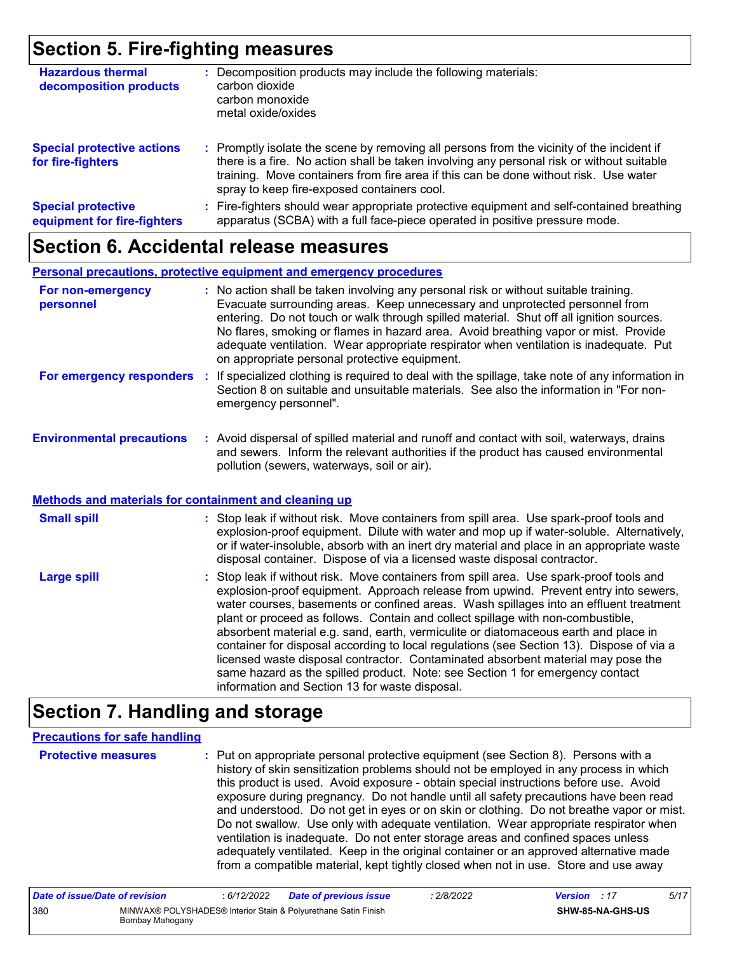# **Section 5. Fire-fighting measures**

| <b>Hazardous thermal</b><br>decomposition products       | Decomposition products may include the following materials:<br>carbon dioxide<br>carbon monoxide<br>metal oxide/oxides                                                                                                                                                                                                        |
|----------------------------------------------------------|-------------------------------------------------------------------------------------------------------------------------------------------------------------------------------------------------------------------------------------------------------------------------------------------------------------------------------|
| <b>Special protective actions</b><br>for fire-fighters   | : Promptly isolate the scene by removing all persons from the vicinity of the incident if<br>there is a fire. No action shall be taken involving any personal risk or without suitable<br>training. Move containers from fire area if this can be done without risk. Use water<br>spray to keep fire-exposed containers cool. |
| <b>Special protective</b><br>equipment for fire-fighters | Fire-fighters should wear appropriate protective equipment and self-contained breathing<br>apparatus (SCBA) with a full face-piece operated in positive pressure mode.                                                                                                                                                        |

### **Section 6. Accidental release measures**

#### **Personal precautions, protective equipment and emergency procedures**

| For non-emergency<br>personnel   | : No action shall be taken involving any personal risk or without suitable training.<br>Evacuate surrounding areas. Keep unnecessary and unprotected personnel from<br>entering. Do not touch or walk through spilled material. Shut off all ignition sources.<br>No flares, smoking or flames in hazard area. Avoid breathing vapor or mist. Provide<br>adequate ventilation. Wear appropriate respirator when ventilation is inadequate. Put<br>on appropriate personal protective equipment. |
|----------------------------------|-------------------------------------------------------------------------------------------------------------------------------------------------------------------------------------------------------------------------------------------------------------------------------------------------------------------------------------------------------------------------------------------------------------------------------------------------------------------------------------------------|
| For emergency responders         | : If specialized clothing is required to deal with the spillage, take note of any information in<br>Section 8 on suitable and unsuitable materials. See also the information in "For non-<br>emergency personnel".                                                                                                                                                                                                                                                                              |
| <b>Environmental precautions</b> | Avoid dispersal of spilled material and rupoff and contact with soil waterways, drains                                                                                                                                                                                                                                                                                                                                                                                                          |

#### **Environmental precautions : Avo :** illed material and runoff and contact with soil, waterways, drains and sewers. Inform the relevant authorities if the product has caused environmental pollution (sewers, waterways, soil or air).

#### **Methods and materials for containment and cleaning up**

| <b>Small spill</b> | : Stop leak if without risk. Move containers from spill area. Use spark-proof tools and<br>explosion-proof equipment. Dilute with water and mop up if water-soluble. Alternatively,<br>or if water-insoluble, absorb with an inert dry material and place in an appropriate waste<br>disposal container. Dispose of via a licensed waste disposal contractor.                                                                                                                                                                                                                                                                                                                                                                                                        |
|--------------------|----------------------------------------------------------------------------------------------------------------------------------------------------------------------------------------------------------------------------------------------------------------------------------------------------------------------------------------------------------------------------------------------------------------------------------------------------------------------------------------------------------------------------------------------------------------------------------------------------------------------------------------------------------------------------------------------------------------------------------------------------------------------|
| <b>Large spill</b> | : Stop leak if without risk. Move containers from spill area. Use spark-proof tools and<br>explosion-proof equipment. Approach release from upwind. Prevent entry into sewers,<br>water courses, basements or confined areas. Wash spillages into an effluent treatment<br>plant or proceed as follows. Contain and collect spillage with non-combustible,<br>absorbent material e.g. sand, earth, vermiculite or diatomaceous earth and place in<br>container for disposal according to local regulations (see Section 13). Dispose of via a<br>licensed waste disposal contractor. Contaminated absorbent material may pose the<br>same hazard as the spilled product. Note: see Section 1 for emergency contact<br>information and Section 13 for waste disposal. |

# **Section 7. Handling and storage**

#### **Precautions for safe handling**

**Protective measures :** Put on appropriate personal protective equipment (see Section 8). Persons with a history of skin sensitization problems should not be employed in any process in which this product is used. Avoid exposure - obtain special instructions before use. Avoid exposure during pregnancy. Do not handle until all safety precautions have been read and understood. Do not get in eyes or on skin or clothing. Do not breathe vapor or mist. Do not swallow. Use only with adequate ventilation. Wear appropriate respirator when ventilation is inadequate. Do not enter storage areas and confined spaces unless adequately ventilated. Keep in the original container or an approved alternative made from a compatible material, kept tightly closed when not in use. Store and use away

| Date of issue/Date of revision |                 | : 6/12/2022 | <b>Date of previous issue</b>                                  | : 2/8/2022 | <b>Version</b> : 17 |                         | 5/17 |
|--------------------------------|-----------------|-------------|----------------------------------------------------------------|------------|---------------------|-------------------------|------|
| 380                            | Bombay Mahogany |             | MINWAX® POLYSHADES® Interior Stain & Polyurethane Satin Finish |            |                     | <b>SHW-85-NA-GHS-US</b> |      |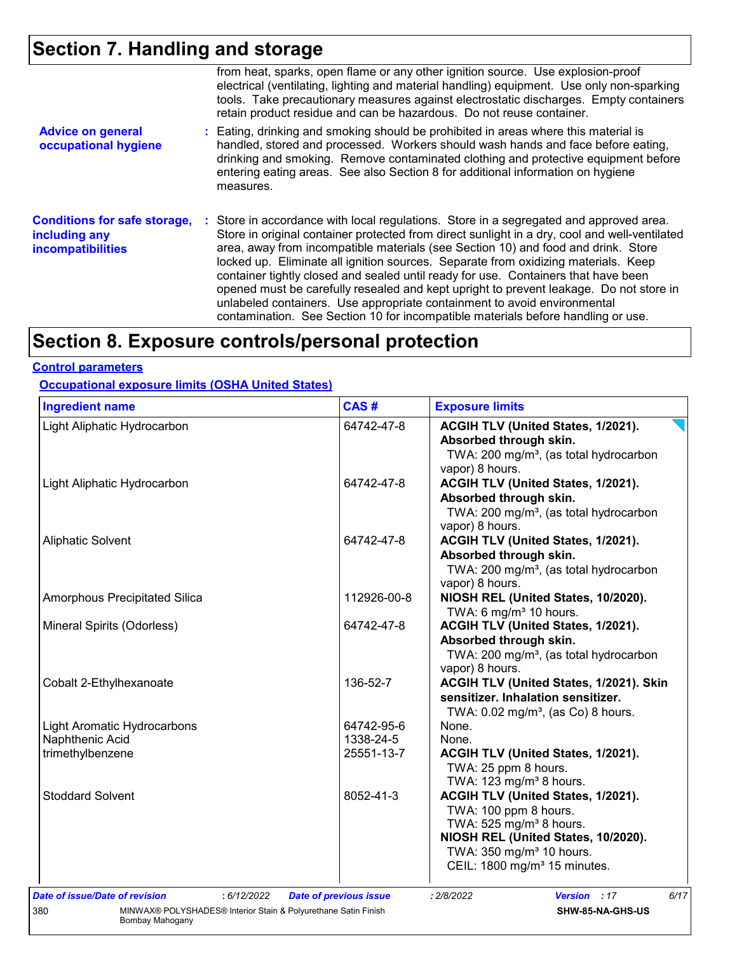# **Section 7. Handling and storage**

|                                                                                  | from heat, sparks, open flame or any other ignition source. Use explosion-proof<br>electrical (ventilating, lighting and material handling) equipment. Use only non-sparking<br>tools. Take precautionary measures against electrostatic discharges. Empty containers<br>retain product residue and can be hazardous. Do not reuse container.                                                                                                                                                                                                                                                                                                                                                                      |
|----------------------------------------------------------------------------------|--------------------------------------------------------------------------------------------------------------------------------------------------------------------------------------------------------------------------------------------------------------------------------------------------------------------------------------------------------------------------------------------------------------------------------------------------------------------------------------------------------------------------------------------------------------------------------------------------------------------------------------------------------------------------------------------------------------------|
| <b>Advice on general</b><br>occupational hygiene                                 | : Eating, drinking and smoking should be prohibited in areas where this material is<br>handled, stored and processed. Workers should wash hands and face before eating,<br>drinking and smoking. Remove contaminated clothing and protective equipment before<br>entering eating areas. See also Section 8 for additional information on hygiene<br>measures.                                                                                                                                                                                                                                                                                                                                                      |
| <b>Conditions for safe storage,</b><br>including any<br><b>incompatibilities</b> | : Store in accordance with local regulations. Store in a segregated and approved area.<br>Store in original container protected from direct sunlight in a dry, cool and well-ventilated<br>area, away from incompatible materials (see Section 10) and food and drink. Store<br>locked up. Eliminate all ignition sources. Separate from oxidizing materials. Keep<br>container tightly closed and sealed until ready for use. Containers that have been<br>opened must be carefully resealed and kept upright to prevent leakage. Do not store in<br>unlabeled containers. Use appropriate containment to avoid environmental<br>contamination. See Section 10 for incompatible materials before handling or use. |

# **Section 8. Exposure controls/personal protection**

#### **Control parameters**

**Occupational exposure limits (OSHA United States)**

| <b>Ingredient name</b>                                                | CAS#                          | <b>Exposure limits</b>                             |
|-----------------------------------------------------------------------|-------------------------------|----------------------------------------------------|
| Light Aliphatic Hydrocarbon                                           | 64742-47-8                    | ACGIH TLV (United States, 1/2021).                 |
|                                                                       |                               | Absorbed through skin.                             |
|                                                                       |                               | TWA: 200 mg/m <sup>3</sup> , (as total hydrocarbon |
|                                                                       |                               | vapor) 8 hours.                                    |
| Light Aliphatic Hydrocarbon                                           | 64742-47-8                    | ACGIH TLV (United States, 1/2021).                 |
|                                                                       |                               | Absorbed through skin.                             |
|                                                                       |                               | TWA: 200 mg/m <sup>3</sup> , (as total hydrocarbon |
|                                                                       |                               | vapor) 8 hours.                                    |
| <b>Aliphatic Solvent</b>                                              | 64742-47-8                    | ACGIH TLV (United States, 1/2021).                 |
|                                                                       |                               | Absorbed through skin.                             |
|                                                                       |                               | TWA: 200 mg/m <sup>3</sup> , (as total hydrocarbon |
|                                                                       |                               | vapor) 8 hours.                                    |
| Amorphous Precipitated Silica                                         | 112926-00-8                   | NIOSH REL (United States, 10/2020).                |
|                                                                       |                               | TWA: 6 mg/m <sup>3</sup> 10 hours.                 |
| Mineral Spirits (Odorless)                                            | 64742-47-8                    | ACGIH TLV (United States, 1/2021).                 |
|                                                                       |                               | Absorbed through skin.                             |
|                                                                       |                               | TWA: 200 mg/m <sup>3</sup> , (as total hydrocarbon |
|                                                                       |                               | vapor) 8 hours.                                    |
| Cobalt 2-Ethylhexanoate                                               | 136-52-7                      | ACGIH TLV (United States, 1/2021). Skin            |
|                                                                       |                               | sensitizer. Inhalation sensitizer.                 |
|                                                                       |                               | TWA: $0.02$ mg/m <sup>3</sup> , (as Co) 8 hours.   |
| Light Aromatic Hydrocarbons                                           | 64742-95-6                    | None.                                              |
| Naphthenic Acid                                                       | 1338-24-5                     | None.                                              |
| trimethylbenzene                                                      | 25551-13-7                    | ACGIH TLV (United States, 1/2021).                 |
|                                                                       |                               | TWA: 25 ppm 8 hours.                               |
|                                                                       |                               | TWA: 123 mg/m <sup>3</sup> 8 hours.                |
| <b>Stoddard Solvent</b>                                               | 8052-41-3                     | ACGIH TLV (United States, 1/2021).                 |
|                                                                       |                               | TWA: 100 ppm 8 hours.                              |
|                                                                       |                               | TWA: 525 mg/m <sup>3</sup> 8 hours.                |
|                                                                       |                               | NIOSH REL (United States, 10/2020).                |
|                                                                       |                               | TWA: 350 mg/m <sup>3</sup> 10 hours.               |
|                                                                       |                               | CEIL: 1800 mg/m <sup>3</sup> 15 minutes.           |
|                                                                       |                               |                                                    |
| Date of issue/Date of revision<br>: 6/12/2022                         | <b>Date of previous issue</b> | Version : 17<br>6/17<br>: 2/8/2022                 |
| MINWAX® POLYSHADES® Interior Stain & Polyurethane Satin Finish<br>380 |                               | SHW-85-NA-GHS-US                                   |
| Bombay Mahogany                                                       |                               |                                                    |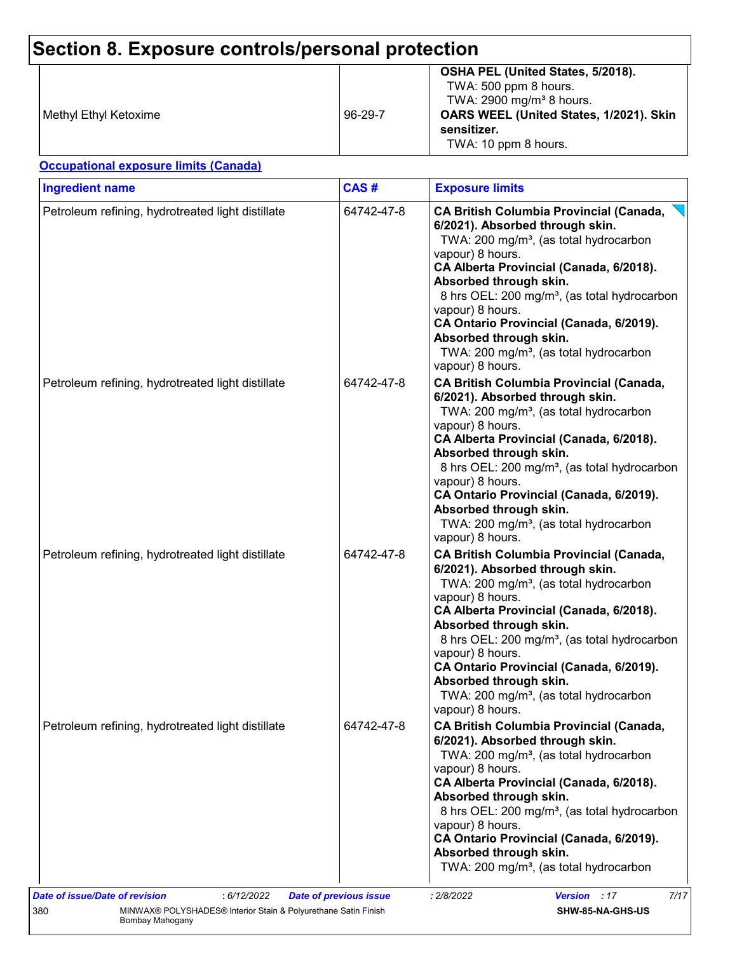# **Section 8. Exposure controls/personal protection**

| Methyl Ethyl Ketoxime | 96-29-7 | OSHA PEL (United States, 5/2018).<br>TWA: 500 ppm 8 hours.<br>TWA: 2900 mg/m <sup>3</sup> 8 hours.<br>OARS WEEL (United States, 1/2021). Skin<br>sensitizer.<br>TWA: 10 ppm 8 hours. |
|-----------------------|---------|--------------------------------------------------------------------------------------------------------------------------------------------------------------------------------------|
|-----------------------|---------|--------------------------------------------------------------------------------------------------------------------------------------------------------------------------------------|

#### **Occupational exposure limits (Canada)**

| <b>Ingredient name</b>                            | CAS#       | <b>Exposure limits</b>                                                                                                                                                                                                                                                                                                                                                                                                                                          |
|---------------------------------------------------|------------|-----------------------------------------------------------------------------------------------------------------------------------------------------------------------------------------------------------------------------------------------------------------------------------------------------------------------------------------------------------------------------------------------------------------------------------------------------------------|
| Petroleum refining, hydrotreated light distillate | 64742-47-8 | <b>CA British Columbia Provincial (Canada,</b><br>6/2021). Absorbed through skin.<br>TWA: 200 mg/m <sup>3</sup> , (as total hydrocarbon<br>vapour) 8 hours.<br>CA Alberta Provincial (Canada, 6/2018).<br>Absorbed through skin.<br>8 hrs OEL: 200 mg/m <sup>3</sup> , (as total hydrocarbon<br>vapour) 8 hours.<br>CA Ontario Provincial (Canada, 6/2019).<br>Absorbed through skin.<br>TWA: 200 mg/m <sup>3</sup> , (as total hydrocarbon<br>vapour) 8 hours. |
| Petroleum refining, hydrotreated light distillate | 64742-47-8 | <b>CA British Columbia Provincial (Canada,</b><br>6/2021). Absorbed through skin.<br>TWA: 200 mg/m <sup>3</sup> , (as total hydrocarbon<br>vapour) 8 hours.<br>CA Alberta Provincial (Canada, 6/2018).<br>Absorbed through skin.<br>8 hrs OEL: 200 mg/m <sup>3</sup> , (as total hydrocarbon<br>vapour) 8 hours.<br>CA Ontario Provincial (Canada, 6/2019).<br>Absorbed through skin.<br>TWA: 200 mg/m <sup>3</sup> , (as total hydrocarbon<br>vapour) 8 hours. |
| Petroleum refining, hydrotreated light distillate | 64742-47-8 | <b>CA British Columbia Provincial (Canada,</b><br>6/2021). Absorbed through skin.<br>TWA: 200 mg/m <sup>3</sup> , (as total hydrocarbon<br>vapour) 8 hours.<br>CA Alberta Provincial (Canada, 6/2018).<br>Absorbed through skin.<br>8 hrs OEL: 200 mg/m <sup>3</sup> , (as total hydrocarbon<br>vapour) 8 hours.<br>CA Ontario Provincial (Canada, 6/2019).<br>Absorbed through skin.<br>TWA: 200 mg/m <sup>3</sup> , (as total hydrocarbon<br>vapour) 8 hours. |
| Petroleum refining, hydrotreated light distillate | 64742-47-8 | <b>CA British Columbia Provincial (Canada,</b><br>6/2021). Absorbed through skin.<br>TWA: 200 mg/m <sup>3</sup> , (as total hydrocarbon<br>vapour) 8 hours.<br>CA Alberta Provincial (Canada, 6/2018).<br>Absorbed through skin.<br>8 hrs OEL: 200 mg/m <sup>3</sup> , (as total hydrocarbon<br>vapour) 8 hours.<br>CA Ontario Provincial (Canada, 6/2019).<br>Absorbed through skin.<br>TWA: 200 mg/m <sup>3</sup> , (as total hydrocarbon                     |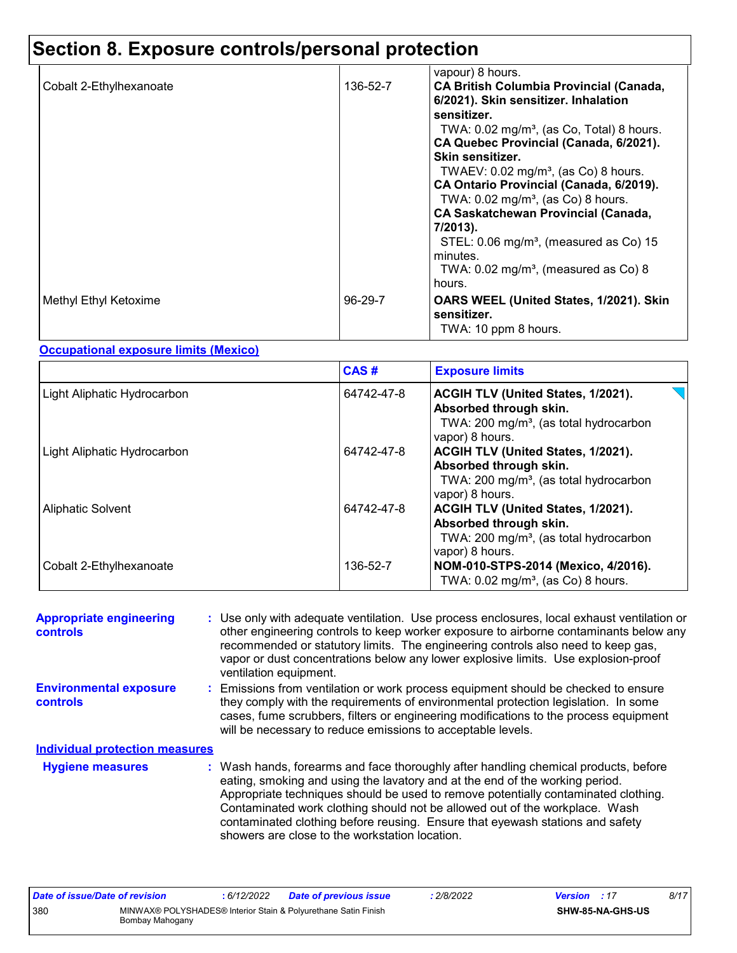# **Section 8. Exposure controls/personal protection**

| Cobalt 2-Ethylhexanoate | 136-52-7  | vapour) 8 hours.<br><b>CA British Columbia Provincial (Canada,</b><br>6/2021). Skin sensitizer. Inhalation                                     |
|-------------------------|-----------|------------------------------------------------------------------------------------------------------------------------------------------------|
|                         |           | sensitizer.<br>TWA: $0.02 \text{ mg/m}^3$ , (as Co, Total) 8 hours.<br>CA Quebec Provincial (Canada, 6/2021).<br>Skin sensitizer.              |
|                         |           | TWAEV: $0.02 \text{ mg/m}^3$ , (as Co) 8 hours.<br>CA Ontario Provincial (Canada, 6/2019).<br>TWA: $0.02$ mg/m <sup>3</sup> , (as Co) 8 hours. |
|                         |           | <b>CA Saskatchewan Provincial (Canada,</b><br>7/2013).                                                                                         |
|                         |           | STEL: $0.06 \text{ mg/m}^3$ , (measured as Co) 15<br>minutes.<br>TWA: $0.02$ mg/m <sup>3</sup> , (measured as Co) 8<br>hours.                  |
| Methyl Ethyl Ketoxime   | $96-29-7$ | OARS WEEL (United States, 1/2021). Skin<br>sensitizer.<br>TWA: 10 ppm 8 hours.                                                                 |

### **Occupational exposure limits (Mexico)**

|                             | CAS#       | <b>Exposure limits</b>                                                                                                                |
|-----------------------------|------------|---------------------------------------------------------------------------------------------------------------------------------------|
| Light Aliphatic Hydrocarbon | 64742-47-8 | ACGIH TLV (United States, 1/2021).<br>Absorbed through skin.<br>TWA: 200 mg/m <sup>3</sup> , (as total hydrocarbon<br>vapor) 8 hours. |
| Light Aliphatic Hydrocarbon | 64742-47-8 | ACGIH TLV (United States, 1/2021).<br>Absorbed through skin.<br>TWA: 200 mg/m <sup>3</sup> , (as total hydrocarbon<br>vapor) 8 hours. |
| <b>Aliphatic Solvent</b>    | 64742-47-8 | ACGIH TLV (United States, 1/2021).<br>Absorbed through skin.<br>TWA: 200 mg/m <sup>3</sup> , (as total hydrocarbon<br>vapor) 8 hours. |
| Cobalt 2-Ethylhexanoate     | 136-52-7   | NOM-010-STPS-2014 (Mexico, 4/2016).<br>TWA: $0.02 \text{ mg/m}^3$ , (as Co) 8 hours.                                                  |

| <b>Appropriate engineering</b><br>controls       | : Use only with adequate ventilation. Use process enclosures, local exhaust ventilation or<br>other engineering controls to keep worker exposure to airborne contaminants below any<br>recommended or statutory limits. The engineering controls also need to keep gas,<br>vapor or dust concentrations below any lower explosive limits. Use explosion-proof<br>ventilation equipment. |                                                                                                                                                                                                                                                                                                                                                                                                                                                                             |
|--------------------------------------------------|-----------------------------------------------------------------------------------------------------------------------------------------------------------------------------------------------------------------------------------------------------------------------------------------------------------------------------------------------------------------------------------------|-----------------------------------------------------------------------------------------------------------------------------------------------------------------------------------------------------------------------------------------------------------------------------------------------------------------------------------------------------------------------------------------------------------------------------------------------------------------------------|
| <b>Environmental exposure</b><br><b>controls</b> |                                                                                                                                                                                                                                                                                                                                                                                         | : Emissions from ventilation or work process equipment should be checked to ensure<br>they comply with the requirements of environmental protection legislation. In some<br>cases, fume scrubbers, filters or engineering modifications to the process equipment<br>will be necessary to reduce emissions to acceptable levels.                                                                                                                                             |
| <b>Individual protection measures</b>            |                                                                                                                                                                                                                                                                                                                                                                                         |                                                                                                                                                                                                                                                                                                                                                                                                                                                                             |
| <b>Hygiene measures</b>                          |                                                                                                                                                                                                                                                                                                                                                                                         | : Wash hands, forearms and face thoroughly after handling chemical products, before<br>eating, smoking and using the lavatory and at the end of the working period.<br>Appropriate techniques should be used to remove potentially contaminated clothing.<br>Contaminated work clothing should not be allowed out of the workplace. Wash<br>contaminated clothing before reusing. Ensure that eyewash stations and safety<br>showers are close to the workstation location. |

| Date of issue/Date of revision |                 | : 6/12/2022 | <b>Date of previous issue</b>                                  | .2/8/2022 | <b>Version</b> : 17 |                         | 8/17 |
|--------------------------------|-----------------|-------------|----------------------------------------------------------------|-----------|---------------------|-------------------------|------|
| 380                            | Bombay Mahogany |             | MINWAX® POLYSHADES® Interior Stain & Polyurethane Satin Finish |           |                     | <b>SHW-85-NA-GHS-US</b> |      |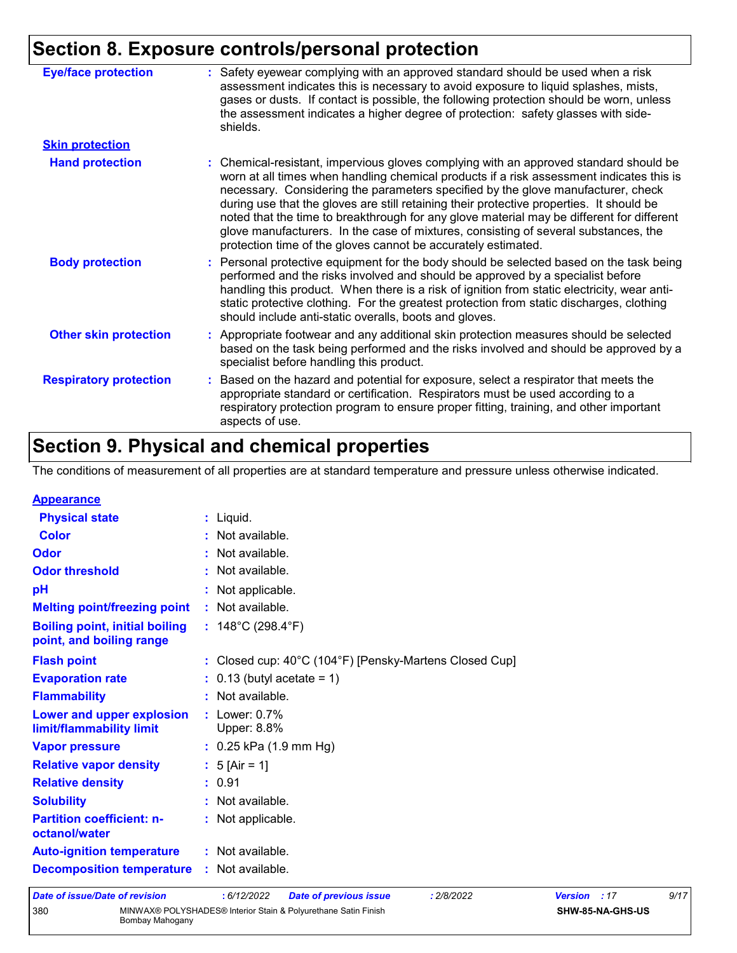# **Section 8. Exposure controls/personal protection**

| <b>Eye/face protection</b>    | Safety eyewear complying with an approved standard should be used when a risk<br>assessment indicates this is necessary to avoid exposure to liquid splashes, mists,<br>gases or dusts. If contact is possible, the following protection should be worn, unless<br>the assessment indicates a higher degree of protection: safety glasses with side-<br>shields.                                                                                                                                                                                                                                                       |
|-------------------------------|------------------------------------------------------------------------------------------------------------------------------------------------------------------------------------------------------------------------------------------------------------------------------------------------------------------------------------------------------------------------------------------------------------------------------------------------------------------------------------------------------------------------------------------------------------------------------------------------------------------------|
| <b>Skin protection</b>        |                                                                                                                                                                                                                                                                                                                                                                                                                                                                                                                                                                                                                        |
| <b>Hand protection</b>        | : Chemical-resistant, impervious gloves complying with an approved standard should be<br>worn at all times when handling chemical products if a risk assessment indicates this is<br>necessary. Considering the parameters specified by the glove manufacturer, check<br>during use that the gloves are still retaining their protective properties. It should be<br>noted that the time to breakthrough for any glove material may be different for different<br>glove manufacturers. In the case of mixtures, consisting of several substances, the<br>protection time of the gloves cannot be accurately estimated. |
| <b>Body protection</b>        | : Personal protective equipment for the body should be selected based on the task being<br>performed and the risks involved and should be approved by a specialist before<br>handling this product. When there is a risk of ignition from static electricity, wear anti-<br>static protective clothing. For the greatest protection from static discharges, clothing<br>should include anti-static overalls, boots and gloves.                                                                                                                                                                                         |
| <b>Other skin protection</b>  | : Appropriate footwear and any additional skin protection measures should be selected<br>based on the task being performed and the risks involved and should be approved by a<br>specialist before handling this product.                                                                                                                                                                                                                                                                                                                                                                                              |
| <b>Respiratory protection</b> | : Based on the hazard and potential for exposure, select a respirator that meets the<br>appropriate standard or certification. Respirators must be used according to a<br>respiratory protection program to ensure proper fitting, training, and other important<br>aspects of use.                                                                                                                                                                                                                                                                                                                                    |

# **Section 9. Physical and chemical properties**

The conditions of measurement of all properties are at standard temperature and pressure unless otherwise indicated.

| <b>Appearance</b>                                                 |                                                                             |
|-------------------------------------------------------------------|-----------------------------------------------------------------------------|
| <b>Physical state</b>                                             | : Liquid.                                                                   |
| <b>Color</b>                                                      | : Not available.                                                            |
| Odor                                                              | : Not available.                                                            |
| <b>Odor threshold</b>                                             | : Not available.                                                            |
| pH                                                                | : Not applicable.                                                           |
| <b>Melting point/freezing point</b>                               | : Not available.                                                            |
| <b>Boiling point, initial boiling</b><br>point, and boiling range | : $148^{\circ}$ C (298.4 $^{\circ}$ F)                                      |
| <b>Flash point</b>                                                | : Closed cup: $40^{\circ}$ C (104 $^{\circ}$ F) [Pensky-Martens Closed Cup] |
| <b>Evaporation rate</b>                                           | $\therefore$ 0.13 (butyl acetate = 1)                                       |
| <b>Flammability</b>                                               | : Not available.                                                            |
| Lower and upper explosion<br>limit/flammability limit             | $:$ Lower: $0.7\%$<br>Upper: 8.8%                                           |
| <b>Vapor pressure</b>                                             | $: 0.25$ kPa (1.9 mm Hg)                                                    |
| <b>Relative vapor density</b>                                     | : $5$ [Air = 1]                                                             |
| <b>Relative density</b>                                           | : 0.91                                                                      |
| <b>Solubility</b>                                                 | : Not available.                                                            |
| <b>Partition coefficient: n-</b><br>octanol/water                 | : Not applicable.                                                           |
| <b>Auto-ignition temperature</b>                                  | : Not available.                                                            |
| <b>Decomposition temperature</b>                                  | : Not available.                                                            |

| Date of issue/Date of revision_ |                 | : 6/12/2022 | <b>Date of previous issu</b>                                   |
|---------------------------------|-----------------|-------------|----------------------------------------------------------------|
| 380                             | Bombay Mahogany |             | MINWAX® POLYSHADES® Interior Stain & Polyurethane Satin Finish |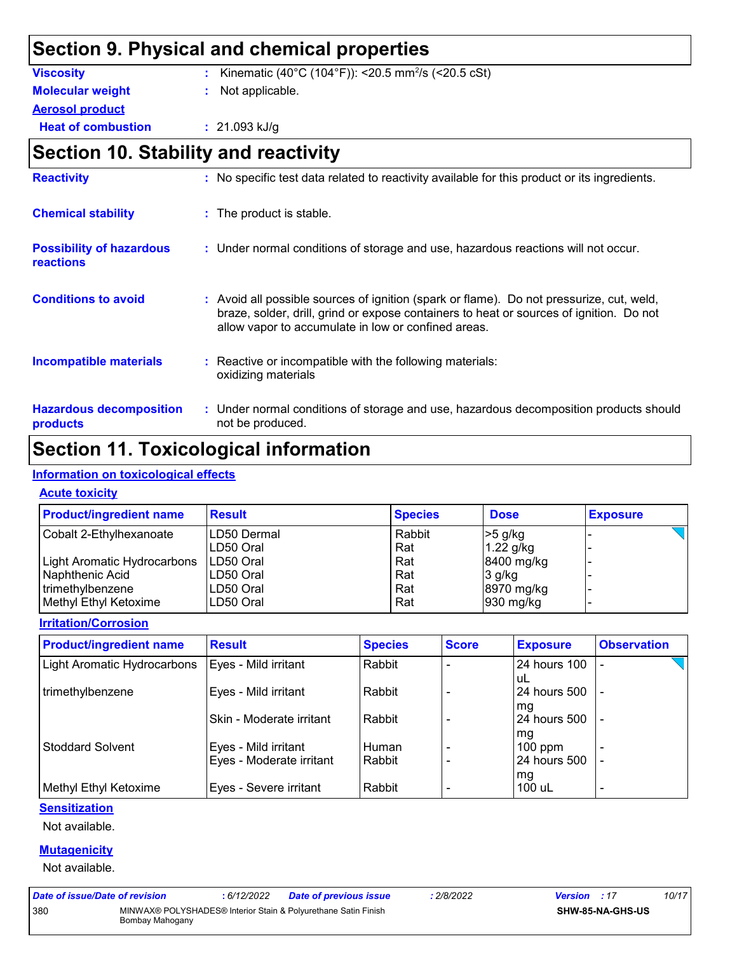# **Section 9. Physical and chemical properties**

| <b>Viscosity</b>          | : Kinematic (40°C (104°F)): <20.5 mm <sup>2</sup> /s (<20.5 cSt) |
|---------------------------|------------------------------------------------------------------|
| <b>Molecular weight</b>   | : Not applicable.                                                |
| <b>Aerosol product</b>    |                                                                  |
| <b>Heat of combustion</b> | $: 21.093$ kJ/g                                                  |

# **Section 10. Stability and reactivity**

| <b>Reactivity</b>                                   | : No specific test data related to reactivity available for this product or its ingredients.                                                                                                                                               |
|-----------------------------------------------------|--------------------------------------------------------------------------------------------------------------------------------------------------------------------------------------------------------------------------------------------|
| <b>Chemical stability</b>                           | : The product is stable.                                                                                                                                                                                                                   |
| <b>Possibility of hazardous</b><br><b>reactions</b> | : Under normal conditions of storage and use, hazardous reactions will not occur.                                                                                                                                                          |
| <b>Conditions to avoid</b>                          | : Avoid all possible sources of ignition (spark or flame). Do not pressurize, cut, weld,<br>braze, solder, drill, grind or expose containers to heat or sources of ignition. Do not<br>allow vapor to accumulate in low or confined areas. |
| <b>Incompatible materials</b>                       | : Reactive or incompatible with the following materials:<br>oxidizing materials                                                                                                                                                            |
| <b>Hazardous decomposition</b><br>products          | : Under normal conditions of storage and use, hazardous decomposition products should<br>not be produced.                                                                                                                                  |

# **Section 11. Toxicological information**

#### **Information on toxicological effects**

#### **Acute toxicity**

| <b>Product/ingredient name</b> | <b>Result</b> | <b>Species</b> | <b>Dose</b> | <b>Exposure</b> |
|--------------------------------|---------------|----------------|-------------|-----------------|
| Cobalt 2-Ethylhexanoate        | LD50 Dermal   | Rabbit         | $>5$ g/kg   |                 |
|                                | LD50 Oral     | Rat            | $1.22$ g/kg |                 |
| Light Aromatic Hydrocarbons    | ILD50 Oral    | Rat            | 8400 mg/kg  |                 |
| Naphthenic Acid                | LD50 Oral     | Rat            | $3$ g/kg    |                 |
| trimethylbenzene               | LD50 Oral     | Rat            | 8970 mg/kg  |                 |
| Methyl Ethyl Ketoxime          | LD50 Oral     | Rat            | $930$ mg/kg |                 |

#### **Irritation/Corrosion**

| <b>Product/ingredient name</b> | <b>Result</b>                                    | <b>Species</b>  | <b>Score</b> | <b>Exposure</b>                 | <b>Observation</b>                         |
|--------------------------------|--------------------------------------------------|-----------------|--------------|---------------------------------|--------------------------------------------|
| Light Aromatic Hydrocarbons    | Eyes - Mild irritant                             | Rabbit          |              | 24 hours 100<br>uL              |                                            |
| trimethylbenzene               | Eyes - Mild irritant                             | Rabbit          |              | 24 hours 500<br>mg              |                                            |
|                                | Skin - Moderate irritant                         | Rabbit          |              | 24 hours 500                    | $\overline{a}$                             |
| <b>Stoddard Solvent</b>        | Eyes - Mild irritant<br>Eyes - Moderate irritant | Human<br>Rabbit |              | mg<br>$100$ ppm<br>24 hours 500 | $\overline{\phantom{0}}$<br>$\blacksquare$ |
| Methyl Ethyl Ketoxime          | Eyes - Severe irritant                           | Rabbit          |              | mg<br>100 uL                    | $\overline{\phantom{0}}$                   |

#### **Sensitization**

Not available.

#### **Mutagenicity**

Not available.

| Date of issue/Date of revision |                 | : 6/12/2022 | <b>Date of previous issue</b>                                  | ·2/8/2022 | <b>Version</b> : 17 |                         | 10/17 |
|--------------------------------|-----------------|-------------|----------------------------------------------------------------|-----------|---------------------|-------------------------|-------|
| 380                            | Bombay Mahogany |             | MINWAX® POLYSHADES® Interior Stain & Polyurethane Satin Finish |           |                     | <b>SHW-85-NA-GHS-US</b> |       |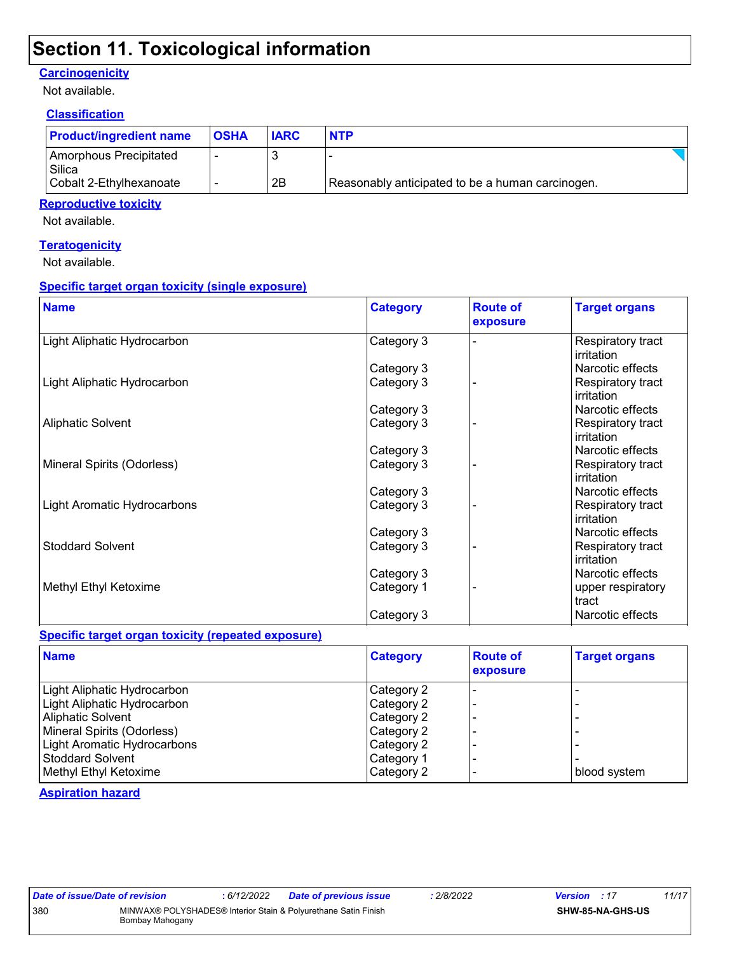# **Section 11. Toxicological information**

#### **Carcinogenicity**

Not available.

#### **Classification**

| <b>Product/ingredient name</b>   | <b>OSHA</b> | <b>IARC</b> | <b>NTP</b>                                       |
|----------------------------------|-------------|-------------|--------------------------------------------------|
| Amorphous Precipitated<br>Silica |             |             |                                                  |
| Cobalt 2-Ethylhexanoate          |             | 2B          | Reasonably anticipated to be a human carcinogen. |

#### **Reproductive toxicity**

Not available.

#### **Teratogenicity**

Not available.

#### **Specific target organ toxicity (single exposure)**

| <b>Name</b>                 | <b>Category</b> | <b>Route of</b><br>exposure | <b>Target organs</b>            |
|-----------------------------|-----------------|-----------------------------|---------------------------------|
| Light Aliphatic Hydrocarbon | Category 3      |                             | Respiratory tract<br>irritation |
|                             | Category 3      |                             | Narcotic effects                |
| Light Aliphatic Hydrocarbon | Category 3      |                             | Respiratory tract<br>irritation |
|                             | Category 3      |                             | Narcotic effects                |
| <b>Aliphatic Solvent</b>    | Category 3      |                             | Respiratory tract<br>irritation |
|                             | Category 3      |                             | Narcotic effects                |
| Mineral Spirits (Odorless)  | Category 3      |                             | Respiratory tract<br>irritation |
|                             | Category 3      |                             | Narcotic effects                |
| Light Aromatic Hydrocarbons | Category 3      |                             | Respiratory tract<br>irritation |
|                             | Category 3      |                             | Narcotic effects                |
| <b>Stoddard Solvent</b>     | Category 3      |                             | Respiratory tract<br>irritation |
|                             | Category 3      |                             | Narcotic effects                |
| Methyl Ethyl Ketoxime       | Category 1      |                             | upper respiratory<br>tract      |
|                             | Category 3      |                             | Narcotic effects                |

#### **Specific target organ toxicity (repeated exposure)**

| <b>Name</b>                 | <b>Category</b> | <b>Route of</b><br>exposure | <b>Target organs</b> |
|-----------------------------|-----------------|-----------------------------|----------------------|
| Light Aliphatic Hydrocarbon | Category 2      |                             |                      |
| Light Aliphatic Hydrocarbon | Category 2      |                             |                      |
| <b>Aliphatic Solvent</b>    | Category 2      |                             |                      |
| Mineral Spirits (Odorless)  | Category 2      |                             |                      |
| Light Aromatic Hydrocarbons | Category 2      |                             |                      |
| <b>Stoddard Solvent</b>     | Category 1      |                             |                      |
| Methyl Ethyl Ketoxime       | Category 2      |                             | blood system         |

**Aspiration hazard**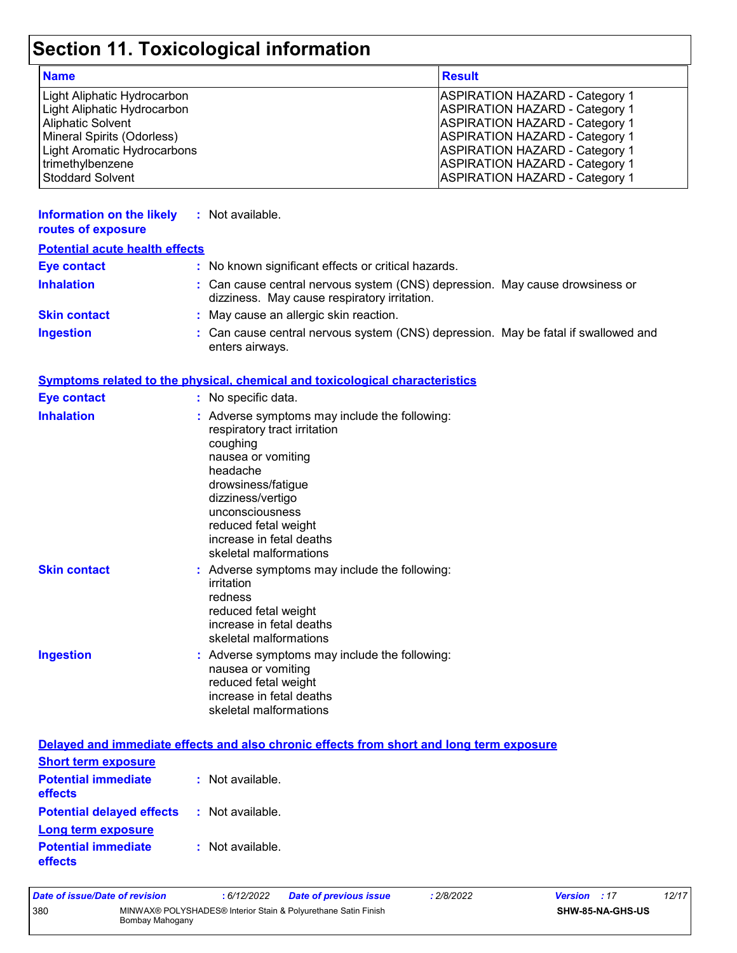# **Section 11. Toxicological information**

| <b>Name</b>                 | <b>Result</b>                         |
|-----------------------------|---------------------------------------|
| Light Aliphatic Hydrocarbon | <b>ASPIRATION HAZARD - Category 1</b> |
| Light Aliphatic Hydrocarbon | <b>ASPIRATION HAZARD - Category 1</b> |
| <b>Aliphatic Solvent</b>    | <b>ASPIRATION HAZARD - Category 1</b> |
| Mineral Spirits (Odorless)  | <b>ASPIRATION HAZARD - Category 1</b> |
| Light Aromatic Hydrocarbons | <b>ASPIRATION HAZARD - Category 1</b> |
| trimethylbenzene            | <b>ASPIRATION HAZARD - Category 1</b> |
| Stoddard Solvent            | <b>ASPIRATION HAZARD - Category 1</b> |

| <b>Information on the likely</b><br>routes of exposure | : Not available.                                                                                                                                                                                                                                                        |
|--------------------------------------------------------|-------------------------------------------------------------------------------------------------------------------------------------------------------------------------------------------------------------------------------------------------------------------------|
| <b>Potential acute health effects</b>                  |                                                                                                                                                                                                                                                                         |
| <b>Eye contact</b>                                     | : No known significant effects or critical hazards.                                                                                                                                                                                                                     |
| <b>Inhalation</b>                                      | : Can cause central nervous system (CNS) depression. May cause drowsiness or<br>dizziness. May cause respiratory irritation.                                                                                                                                            |
| <b>Skin contact</b>                                    | May cause an allergic skin reaction.                                                                                                                                                                                                                                    |
| <b>Ingestion</b>                                       | Can cause central nervous system (CNS) depression. May be fatal if swallowed and<br>enters airways.                                                                                                                                                                     |
|                                                        | <b>Symptoms related to the physical, chemical and toxicological characteristics</b>                                                                                                                                                                                     |
| <b>Eye contact</b>                                     | : No specific data.                                                                                                                                                                                                                                                     |
| <b>Inhalation</b>                                      | : Adverse symptoms may include the following:<br>respiratory tract irritation<br>coughing<br>nausea or vomiting<br>headache<br>drowsiness/fatigue<br>dizziness/vertigo<br>unconsciousness<br>reduced fetal weight<br>increase in fetal deaths<br>skeletal malformations |
| <b>Skin contact</b>                                    | : Adverse symptoms may include the following:<br>irritation<br>redness<br>reduced fetal weight<br>increase in fetal deaths<br>skeletal malformations                                                                                                                    |
| <b>Ingestion</b>                                       | : Adverse symptoms may include the following:<br>nausea or vomiting<br>reduced fetal weight<br>increase in fetal deaths<br>skeletal malformations                                                                                                                       |
|                                                        | Delayed and immediate effects and also chronic effects from short and long term exposure                                                                                                                                                                                |
| <b>Short term exposure</b>                             |                                                                                                                                                                                                                                                                         |
| <b>Potential immediate</b><br>effects                  | : Not available.                                                                                                                                                                                                                                                        |
| <b>Potential delayed effects</b>                       | : Not available.                                                                                                                                                                                                                                                        |
| <b>Long term exposure</b>                              |                                                                                                                                                                                                                                                                         |

| <b>Potential immediate</b> | : Not available. |
|----------------------------|------------------|
| <b>effects</b>             |                  |

| Date of issue/Date of revision                                                           |  | : 6/12/2022 | <b>Date of previous issue</b> | : 2/8/2022              | <b>Version</b> : 17 |  | 12/17 |
|------------------------------------------------------------------------------------------|--|-------------|-------------------------------|-------------------------|---------------------|--|-------|
| 380<br>MINWAX® POLYSHADES® Interior Stain & Polyurethane Satin Finish<br>Bombay Mahogany |  |             |                               | <b>SHW-85-NA-GHS-US</b> |                     |  |       |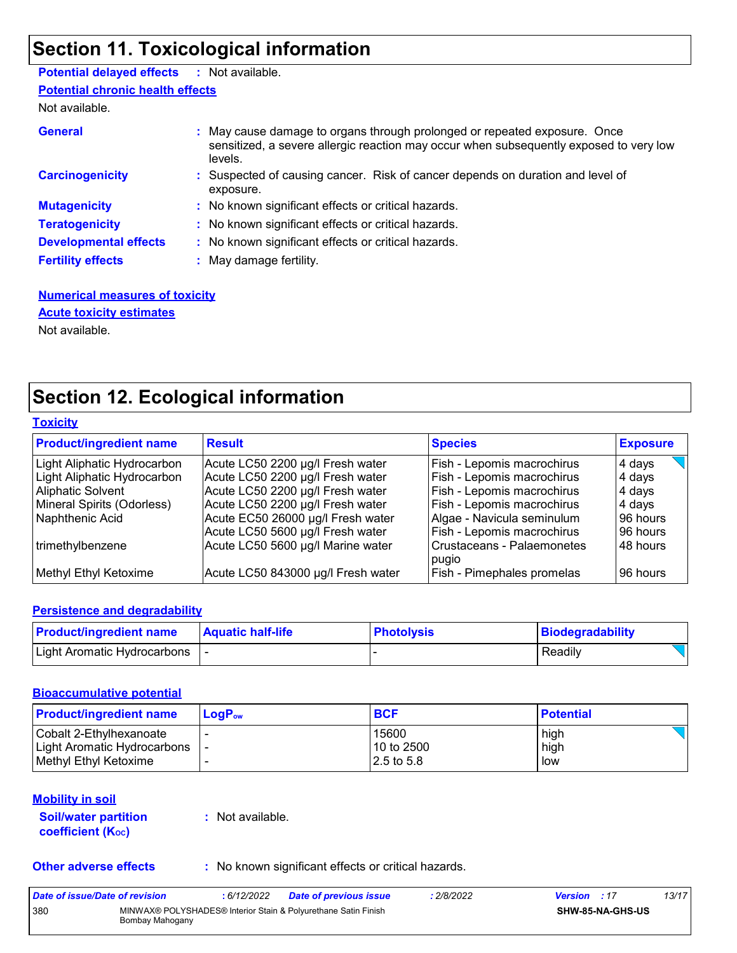# **Section 11. Toxicological information**

### **Potential delayed effects :** Not available.

**Potential chronic health effects**

Not available.

| <b>General</b>               | May cause damage to organs through prolonged or repeated exposure. Once<br>sensitized, a severe allergic reaction may occur when subsequently exposed to very low<br>levels. |
|------------------------------|------------------------------------------------------------------------------------------------------------------------------------------------------------------------------|
| <b>Carcinogenicity</b>       | : Suspected of causing cancer. Risk of cancer depends on duration and level of<br>exposure.                                                                                  |
| <b>Mutagenicity</b>          | : No known significant effects or critical hazards.                                                                                                                          |
| <b>Teratogenicity</b>        | : No known significant effects or critical hazards.                                                                                                                          |
| <b>Developmental effects</b> | : No known significant effects or critical hazards.                                                                                                                          |
| <b>Fertility effects</b>     | : May damage fertility.                                                                                                                                                      |

#### **Numerical measures of toxicity** Not available. **Acute toxicity estimates**

# **Section 12. Ecological information**

| <b>Toxicity</b> |
|-----------------|
|-----------------|

| <b>Product/ingredient name</b> | <b>Result</b>                      | <b>Species</b>             | <b>Exposure</b> |
|--------------------------------|------------------------------------|----------------------------|-----------------|
| Light Aliphatic Hydrocarbon    | Acute LC50 2200 µg/l Fresh water   | Fish - Lepomis macrochirus | 4 days          |
| Light Aliphatic Hydrocarbon    | Acute LC50 2200 µg/l Fresh water   | Fish - Lepomis macrochirus | 4 days          |
| <b>Aliphatic Solvent</b>       | Acute LC50 2200 µg/l Fresh water   | Fish - Lepomis macrochirus | 4 days          |
| Mineral Spirits (Odorless)     | Acute LC50 2200 µg/l Fresh water   | Fish - Lepomis macrochirus | 4 days          |
| Naphthenic Acid                | Acute EC50 26000 µg/l Fresh water  | Algae - Navicula seminulum | 96 hours        |
|                                | Acute LC50 5600 µg/l Fresh water   | Fish - Lepomis macrochirus | 96 hours        |
| trimethylbenzene               | Acute LC50 5600 µg/l Marine water  | Crustaceans - Palaemonetes | 48 hours        |
|                                |                                    | pugio                      |                 |
| Methyl Ethyl Ketoxime          | Acute LC50 843000 µg/l Fresh water | Fish - Pimephales promelas | 96 hours        |

#### **Persistence and degradability**

| <b>Product/ingredient name</b> | <b>Aquatic half-life</b> | <b>Photolysis</b> | Biodegradability |
|--------------------------------|--------------------------|-------------------|------------------|
| Light Aromatic Hydrocarbons    |                          |                   | Readily          |

#### **Bioaccumulative potential**

| <b>Product/ingredient name</b>  | $\mathsf{LogP}_\mathsf{ow}$ | <b>BCF</b> | <b>Potential</b> |
|---------------------------------|-----------------------------|------------|------------------|
| Cobalt 2-Ethylhexanoate         |                             | 15600      | high             |
| Light Aromatic Hydrocarbons   - |                             | 10 to 2500 | high             |
| Methyl Ethyl Ketoxime           |                             | 2.5 to 5.8 | low              |

#### **Mobility in soil**

#### **Soil/water partition coefficient (KOC)**

**:** Not available.

**Other adverse effects** : No known significant effects or critical hazards.

| Date of issue/Date of revision |                 | : 6/12/2022 | <b>Date of previous issue</b>                                  | : 2/8/2022 | <b>Version</b> : 17 |                         | 13/17 |
|--------------------------------|-----------------|-------------|----------------------------------------------------------------|------------|---------------------|-------------------------|-------|
| 380                            | Bombay Mahogany |             | MINWAX® POLYSHADES® Interior Stain & Polyurethane Satin Finish |            |                     | <b>SHW-85-NA-GHS-US</b> |       |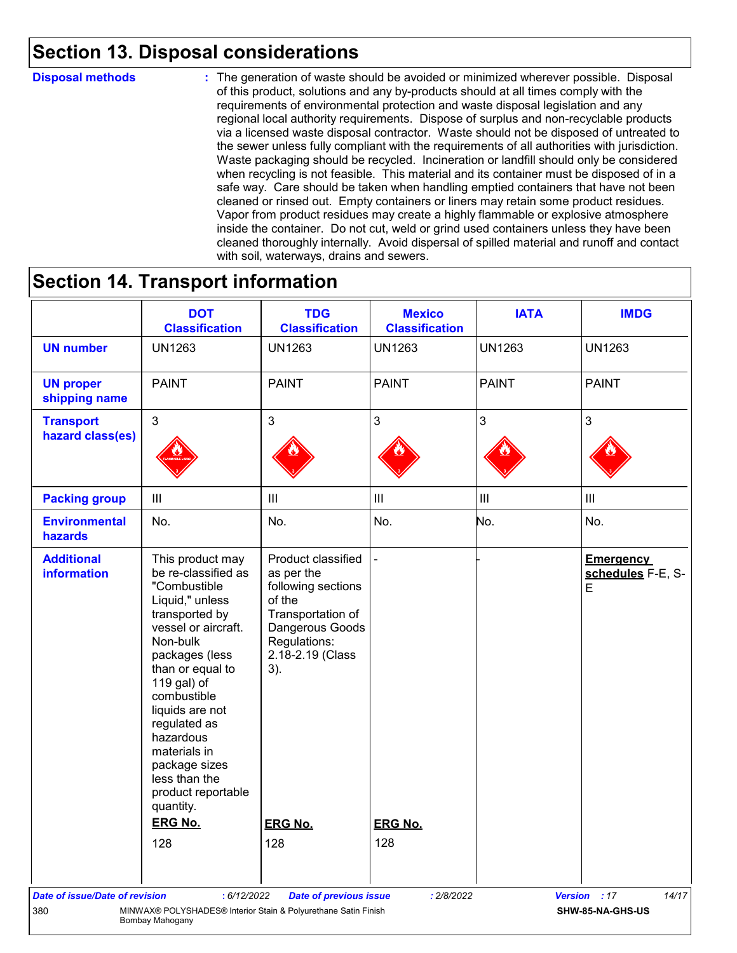# **Section 13. Disposal considerations**

#### **Disposal methods :**

The generation of waste should be avoided or minimized wherever possible. Disposal of this product, solutions and any by-products should at all times comply with the requirements of environmental protection and waste disposal legislation and any regional local authority requirements. Dispose of surplus and non-recyclable products via a licensed waste disposal contractor. Waste should not be disposed of untreated to the sewer unless fully compliant with the requirements of all authorities with jurisdiction. Waste packaging should be recycled. Incineration or landfill should only be considered when recycling is not feasible. This material and its container must be disposed of in a safe way. Care should be taken when handling emptied containers that have not been cleaned or rinsed out. Empty containers or liners may retain some product residues. Vapor from product residues may create a highly flammable or explosive atmosphere inside the container. Do not cut, weld or grind used containers unless they have been cleaned thoroughly internally. Avoid dispersal of spilled material and runoff and contact with soil, waterways, drains and sewers.

## **Section 14. Transport information**

| <b>UN1263</b><br><b>PAINT</b><br>$\mathbf{3}$<br>$\  \ $<br>No.<br>This product may<br>be re-classified as                                                                                                                                                                                                      | <b>UN1263</b><br><b>PAINT</b><br>3<br>$\mathbf{III}$<br>No.                                                                                         | <b>UN1263</b><br><b>PAINT</b><br>$\mathbf{3}$<br>$\ensuremath{\mathsf{III}}\xspace$<br>No. | <b>UN1263</b><br><b>PAINT</b><br>3<br>$\mathbf{III}$<br>No. | <b>UN1263</b><br><b>PAINT</b><br>3<br>$\ensuremath{\mathsf{III}}\xspace$ |
|-----------------------------------------------------------------------------------------------------------------------------------------------------------------------------------------------------------------------------------------------------------------------------------------------------------------|-----------------------------------------------------------------------------------------------------------------------------------------------------|--------------------------------------------------------------------------------------------|-------------------------------------------------------------|--------------------------------------------------------------------------|
|                                                                                                                                                                                                                                                                                                                 |                                                                                                                                                     |                                                                                            |                                                             |                                                                          |
|                                                                                                                                                                                                                                                                                                                 |                                                                                                                                                     |                                                                                            |                                                             |                                                                          |
|                                                                                                                                                                                                                                                                                                                 |                                                                                                                                                     |                                                                                            |                                                             |                                                                          |
|                                                                                                                                                                                                                                                                                                                 |                                                                                                                                                     |                                                                                            |                                                             |                                                                          |
|                                                                                                                                                                                                                                                                                                                 |                                                                                                                                                     |                                                                                            |                                                             | No.                                                                      |
| "Combustible<br>Liquid," unless<br>transported by<br>vessel or aircraft.<br>Non-bulk<br>packages (less<br>than or equal to<br>119 gal) of<br>combustible<br>liquids are not<br>regulated as<br>hazardous<br>materials in<br>package sizes<br>less than the<br>product reportable<br>quantity.<br><b>ERG No.</b> | Product classified<br>as per the<br>following sections<br>of the<br>Transportation of<br>Dangerous Goods<br>Regulations:<br>2.18-2.19 (Class<br>3). |                                                                                            |                                                             | <b>Emergency</b><br>schedules F-E, S-<br>E                               |
|                                                                                                                                                                                                                                                                                                                 |                                                                                                                                                     |                                                                                            |                                                             |                                                                          |
|                                                                                                                                                                                                                                                                                                                 | 128                                                                                                                                                 | <b>ERG No.</b><br>128                                                                      | <b>ERG No.</b><br>128                                       |                                                                          |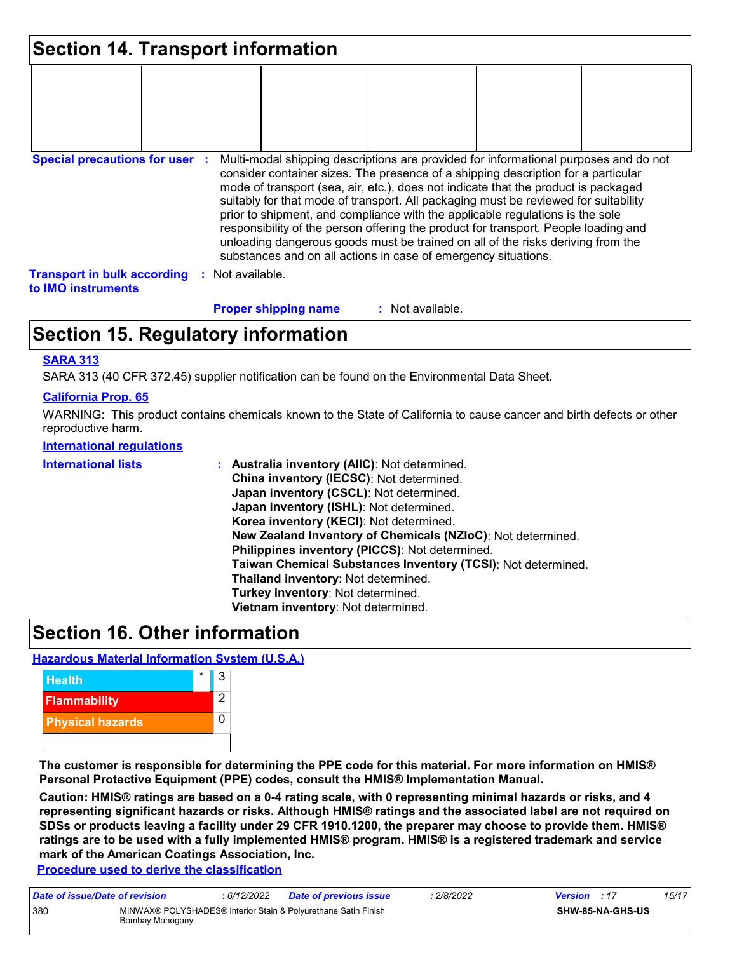| <b>Section 14. Transport information</b>                 |                                                                                                                                                                                                                                                                                                                                                                                                                                                                                                                                                                                                                                                                                     |
|----------------------------------------------------------|-------------------------------------------------------------------------------------------------------------------------------------------------------------------------------------------------------------------------------------------------------------------------------------------------------------------------------------------------------------------------------------------------------------------------------------------------------------------------------------------------------------------------------------------------------------------------------------------------------------------------------------------------------------------------------------|
|                                                          |                                                                                                                                                                                                                                                                                                                                                                                                                                                                                                                                                                                                                                                                                     |
| <b>Special precautions for user :</b>                    | Multi-modal shipping descriptions are provided for informational purposes and do not<br>consider container sizes. The presence of a shipping description for a particular<br>mode of transport (sea, air, etc.), does not indicate that the product is packaged<br>suitably for that mode of transport. All packaging must be reviewed for suitability<br>prior to shipment, and compliance with the applicable regulations is the sole<br>responsibility of the person offering the product for transport. People loading and<br>unloading dangerous goods must be trained on all of the risks deriving from the<br>substances and on all actions in case of emergency situations. |
| <b>Transport in bulk according</b><br>to IMO instruments | : Not available.                                                                                                                                                                                                                                                                                                                                                                                                                                                                                                                                                                                                                                                                    |
|                                                          | <b>Proper shipping name</b><br>: Not available.                                                                                                                                                                                                                                                                                                                                                                                                                                                                                                                                                                                                                                     |

# **Section 15. Regulatory information**

#### **SARA 313**

SARA 313 (40 CFR 372.45) supplier notification can be found on the Environmental Data Sheet.

#### **California Prop. 65**

WARNING: This product contains chemicals known to the State of California to cause cancer and birth defects or other reproductive harm.

#### **International regulations**

| China inventory (IECSC): Not determined.<br>Japan inventory (CSCL): Not determined.<br>Japan inventory (ISHL): Not determined.<br>Korea inventory (KECI): Not determined.<br>New Zealand Inventory of Chemicals (NZIoC): Not determined.<br>Philippines inventory (PICCS): Not determined.<br>Taiwan Chemical Substances Inventory (TCSI): Not determined.<br>Thailand inventory: Not determined.<br>Turkey inventory: Not determined.<br>Vietnam inventory: Not determined. |  |
|------------------------------------------------------------------------------------------------------------------------------------------------------------------------------------------------------------------------------------------------------------------------------------------------------------------------------------------------------------------------------------------------------------------------------------------------------------------------------|--|
|------------------------------------------------------------------------------------------------------------------------------------------------------------------------------------------------------------------------------------------------------------------------------------------------------------------------------------------------------------------------------------------------------------------------------------------------------------------------------|--|

# **Section 16. Other information**

#### **Hazardous Material Information System (U.S.A.)**



**The customer is responsible for determining the PPE code for this material. For more information on HMIS® Personal Protective Equipment (PPE) codes, consult the HMIS® Implementation Manual.**

**Caution: HMIS® ratings are based on a 0-4 rating scale, with 0 representing minimal hazards or risks, and 4 representing significant hazards or risks. Although HMIS® ratings and the associated label are not required on SDSs or products leaving a facility under 29 CFR 1910.1200, the preparer may choose to provide them. HMIS® ratings are to be used with a fully implemented HMIS® program. HMIS® is a registered trademark and service mark of the American Coatings Association, Inc.**

**Procedure used to derive the classification**

| Date of issue/Date of revision |                                                                                   | : 6/12/2022 | <b>Date of previous issue</b> | 2/8/2022 | <b>Version</b> : 17 |                         | 15/17 |
|--------------------------------|-----------------------------------------------------------------------------------|-------------|-------------------------------|----------|---------------------|-------------------------|-------|
| 380                            | MINWAX® POLYSHADES® Interior Stain & Polyurethane Satin Finish<br>Bombay Mahogany |             |                               |          |                     | <b>SHW-85-NA-GHS-US</b> |       |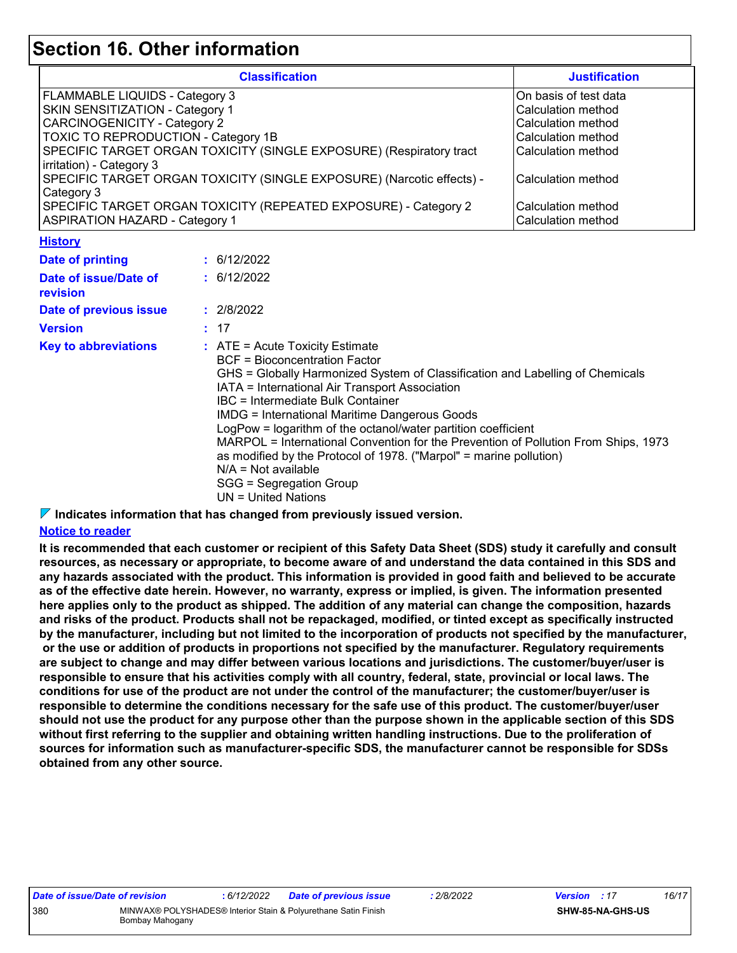### **Section 16. Other information**

| <b>Classification</b>                                                                                    | <b>Justification</b>                     |  |
|----------------------------------------------------------------------------------------------------------|------------------------------------------|--|
| FLAMMABLE LIQUIDS - Category 3                                                                           | On basis of test data                    |  |
| SKIN SENSITIZATION - Category 1                                                                          | Calculation method                       |  |
| <b>CARCINOGENICITY - Category 2</b>                                                                      | Calculation method                       |  |
| TOXIC TO REPRODUCTION - Category 1B                                                                      | Calculation method                       |  |
| SPECIFIC TARGET ORGAN TOXICITY (SINGLE EXPOSURE) (Respiratory tract<br>irritation) - Category 3          | Calculation method                       |  |
| SPECIFIC TARGET ORGAN TOXICITY (SINGLE EXPOSURE) (Narcotic effects) -<br>Category 3                      | l Calculation method                     |  |
| SPECIFIC TARGET ORGAN TOXICITY (REPEATED EXPOSURE) - Category 2<br><b>ASPIRATION HAZARD - Category 1</b> | Calculation method<br>Calculation method |  |

#### **History**

| Date of printing                  | : 6/12/2022                                                                                                                                                                                                                                                                                                                                                                                                                                                                                                                                                                                                  |
|-----------------------------------|--------------------------------------------------------------------------------------------------------------------------------------------------------------------------------------------------------------------------------------------------------------------------------------------------------------------------------------------------------------------------------------------------------------------------------------------------------------------------------------------------------------------------------------------------------------------------------------------------------------|
| Date of issue/Date of<br>revision | : 6/12/2022                                                                                                                                                                                                                                                                                                                                                                                                                                                                                                                                                                                                  |
| Date of previous issue            | : 2/8/2022                                                                                                                                                                                                                                                                                                                                                                                                                                                                                                                                                                                                   |
| Version                           | : 17                                                                                                                                                                                                                                                                                                                                                                                                                                                                                                                                                                                                         |
| <b>Key to abbreviations</b>       | $\therefore$ ATE = Acute Toxicity Estimate<br>BCF = Bioconcentration Factor<br>GHS = Globally Harmonized System of Classification and Labelling of Chemicals<br>IATA = International Air Transport Association<br>IBC = Intermediate Bulk Container<br>IMDG = International Maritime Dangerous Goods<br>LogPow = logarithm of the octanol/water partition coefficient<br>MARPOL = International Convention for the Prevention of Pollution From Ships, 1973<br>as modified by the Protocol of 1978. ("Marpol" = marine pollution)<br>$N/A = Not available$<br>SGG = Segregation Group<br>UN = United Nations |

**Indicates information that has changed from previously issued version.**

#### **Notice to reader**

**It is recommended that each customer or recipient of this Safety Data Sheet (SDS) study it carefully and consult resources, as necessary or appropriate, to become aware of and understand the data contained in this SDS and any hazards associated with the product. This information is provided in good faith and believed to be accurate as of the effective date herein. However, no warranty, express or implied, is given. The information presented here applies only to the product as shipped. The addition of any material can change the composition, hazards and risks of the product. Products shall not be repackaged, modified, or tinted except as specifically instructed by the manufacturer, including but not limited to the incorporation of products not specified by the manufacturer, or the use or addition of products in proportions not specified by the manufacturer. Regulatory requirements are subject to change and may differ between various locations and jurisdictions. The customer/buyer/user is responsible to ensure that his activities comply with all country, federal, state, provincial or local laws. The conditions for use of the product are not under the control of the manufacturer; the customer/buyer/user is responsible to determine the conditions necessary for the safe use of this product. The customer/buyer/user should not use the product for any purpose other than the purpose shown in the applicable section of this SDS without first referring to the supplier and obtaining written handling instructions. Due to the proliferation of sources for information such as manufacturer-specific SDS, the manufacturer cannot be responsible for SDSs obtained from any other source.**